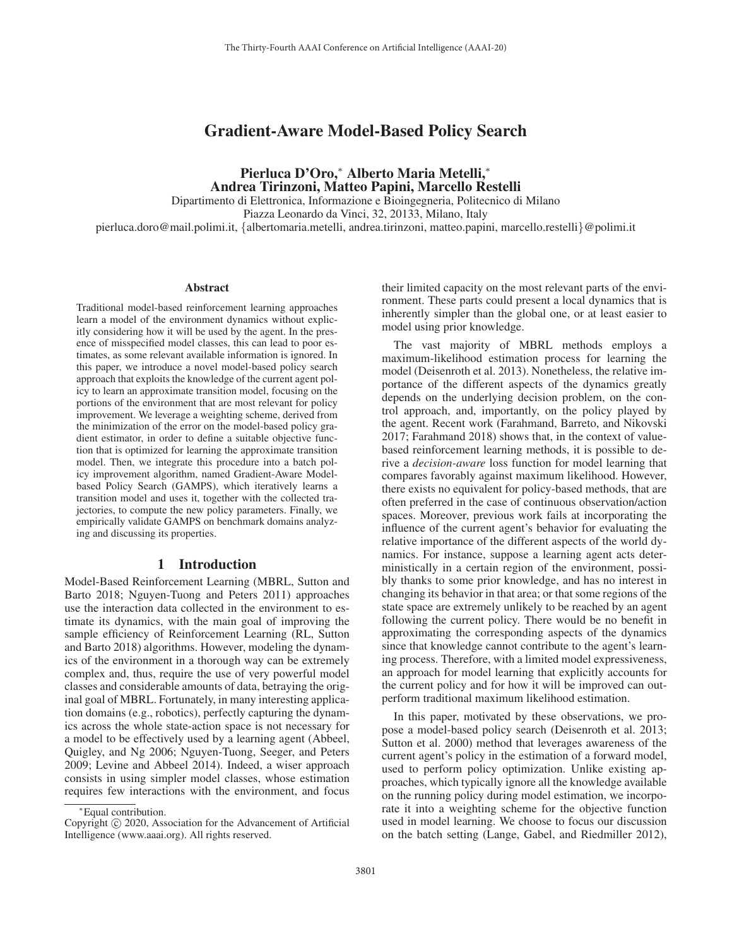# Gradient-Aware Model-Based Policy Search

Pierluca D'Oro,<sup>∗</sup> Alberto Maria Metelli,<sup>∗</sup> Andrea Tirinzoni, Matteo Papini, Marcello Restelli Dipartimento di Elettronica, Informazione e Bioingegneria, Politecnico di Milano Piazza Leonardo da Vinci, 32, 20133, Milano, Italy pierluca.doro@mail.polimi.it, {albertomaria.metelli, andrea.tirinzoni, matteo.papini, marcello.restelli}@polimi.it

#### Abstract

Traditional model-based reinforcement learning approaches learn a model of the environment dynamics without explicitly considering how it will be used by the agent. In the presence of misspecified model classes, this can lead to poor estimates, as some relevant available information is ignored. In this paper, we introduce a novel model-based policy search approach that exploits the knowledge of the current agent policy to learn an approximate transition model, focusing on the portions of the environment that are most relevant for policy improvement. We leverage a weighting scheme, derived from the minimization of the error on the model-based policy gradient estimator, in order to define a suitable objective function that is optimized for learning the approximate transition model. Then, we integrate this procedure into a batch policy improvement algorithm, named Gradient-Aware Modelbased Policy Search (GAMPS), which iteratively learns a transition model and uses it, together with the collected trajectories, to compute the new policy parameters. Finally, we empirically validate GAMPS on benchmark domains analyzing and discussing its properties.

## 1 Introduction

Model-Based Reinforcement Learning (MBRL, Sutton and Barto 2018; Nguyen-Tuong and Peters 2011) approaches use the interaction data collected in the environment to estimate its dynamics, with the main goal of improving the sample efficiency of Reinforcement Learning (RL, Sutton and Barto 2018) algorithms. However, modeling the dynamics of the environment in a thorough way can be extremely complex and, thus, require the use of very powerful model classes and considerable amounts of data, betraying the original goal of MBRL. Fortunately, in many interesting application domains (e.g., robotics), perfectly capturing the dynamics across the whole state-action space is not necessary for a model to be effectively used by a learning agent (Abbeel, Quigley, and Ng 2006; Nguyen-Tuong, Seeger, and Peters 2009; Levine and Abbeel 2014). Indeed, a wiser approach consists in using simpler model classes, whose estimation requires few interactions with the environment, and focus

their limited capacity on the most relevant parts of the environment. These parts could present a local dynamics that is inherently simpler than the global one, or at least easier to model using prior knowledge.

The vast majority of MBRL methods employs a maximum-likelihood estimation process for learning the model (Deisenroth et al. 2013). Nonetheless, the relative importance of the different aspects of the dynamics greatly depends on the underlying decision problem, on the control approach, and, importantly, on the policy played by the agent. Recent work (Farahmand, Barreto, and Nikovski 2017; Farahmand 2018) shows that, in the context of valuebased reinforcement learning methods, it is possible to derive a *decision-aware* loss function for model learning that compares favorably against maximum likelihood. However, there exists no equivalent for policy-based methods, that are often preferred in the case of continuous observation/action spaces. Moreover, previous work fails at incorporating the influence of the current agent's behavior for evaluating the relative importance of the different aspects of the world dynamics. For instance, suppose a learning agent acts deterministically in a certain region of the environment, possibly thanks to some prior knowledge, and has no interest in changing its behavior in that area; or that some regions of the state space are extremely unlikely to be reached by an agent following the current policy. There would be no benefit in approximating the corresponding aspects of the dynamics since that knowledge cannot contribute to the agent's learning process. Therefore, with a limited model expressiveness, an approach for model learning that explicitly accounts for the current policy and for how it will be improved can outperform traditional maximum likelihood estimation.

In this paper, motivated by these observations, we propose a model-based policy search (Deisenroth et al. 2013; Sutton et al. 2000) method that leverages awareness of the current agent's policy in the estimation of a forward model, used to perform policy optimization. Unlike existing approaches, which typically ignore all the knowledge available on the running policy during model estimation, we incorporate it into a weighting scheme for the objective function used in model learning. We choose to focus our discussion on the batch setting (Lange, Gabel, and Riedmiller 2012),

<sup>∗</sup>Equal contribution.

Copyright  $\odot$  2020, Association for the Advancement of Artificial Intelligence (www.aaai.org). All rights reserved.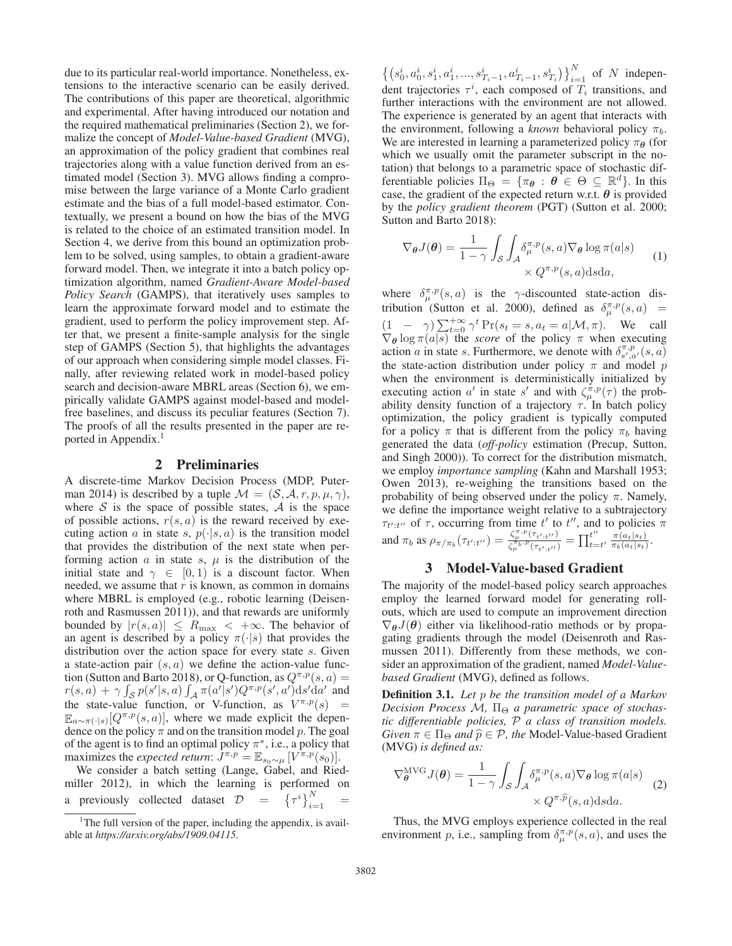due to its particular real-world importance. Nonetheless, extensions to the interactive scenario can be easily derived. The contributions of this paper are theoretical, algorithmic and experimental. After having introduced our notation and the required mathematical preliminaries (Section 2), we formalize the concept of *Model-Value-based Gradient* (MVG), an approximation of the policy gradient that combines real trajectories along with a value function derived from an estimated model (Section 3). MVG allows finding a compromise between the large variance of a Monte Carlo gradient estimate and the bias of a full model-based estimator. Contextually, we present a bound on how the bias of the MVG is related to the choice of an estimated transition model. In Section 4, we derive from this bound an optimization problem to be solved, using samples, to obtain a gradient-aware forward model. Then, we integrate it into a batch policy optimization algorithm, named *Gradient-Aware Model-based Policy Search* (GAMPS), that iteratively uses samples to learn the approximate forward model and to estimate the gradient, used to perform the policy improvement step. After that, we present a finite-sample analysis for the single step of GAMPS (Section 5), that highlights the advantages of our approach when considering simple model classes. Finally, after reviewing related work in model-based policy search and decision-aware MBRL areas (Section 6), we empirically validate GAMPS against model-based and modelfree baselines, and discuss its peculiar features (Section 7). The proofs of all the results presented in the paper are reported in Appendix.<sup>1</sup>

## 2 Preliminaries

A discrete-time Markov Decision Process (MDP, Puterman 2014) is described by a tuple  $\mathcal{M} = (\mathcal{S}, \mathcal{A}, r, p, \mu, \gamma)$ , where  $S$  is the space of possible states,  $A$  is the space of possible actions,  $r(s, a)$  is the reward received by executing action a in state s,  $p(\cdot|s, a)$  is the transition model that provides the distribution of the next state when performing action a in state s,  $\mu$  is the distribution of the initial state and  $\gamma \in [0, 1)$  is a discount factor. When needed, we assume that  $r$  is known, as common in domains where MBRL is employed (e.g., robotic learning (Deisenroth and Rasmussen 2011)), and that rewards are uniformly bounded by  $|r(s, a)| \le R_{\text{max}} < +\infty$ . The behavior of an agent is described by a policy  $\pi(\cdot|s)$  that provides the distribution over the action space for every state s. Given a state-action pair  $(s, a)$  we define the action-value function (Sutton and Barto 2018), or Q-function, as  $Q^{\pi,p}(s, a)$  =  $r(s, a) + \gamma \int_{\mathcal{S}} p(s'|s, a) \int_{\mathcal{A}} \pi(a'|s') Q^{\pi, p}(s', a') ds' da'$  and the state-value function, or V-function, as  $V^{\pi,p}(s)$  =  $\mathbb{E}_{a \sim \pi(\cdot|s)}[Q^{\pi,p}(s,a)]$ , where we made explicit the dependence on the policy  $\pi$  and on the transition model p. The goal of the agent is to find an optimal policy  $\pi^*$ , i.e., a policy that maximizes the *expected return*:  $J^{\pi,p} = \mathbb{E}_{s_0 \sim \mu} [V^{\pi,p}(s_0)].$ 

We consider a batch setting (Lange, Gabel, and Riedmiller 2012), in which the learning is performed on a previously collected dataset  $\mathcal{D} = {\left\{ {\tau^{i}} \right\}_{i=1}^{N}} =$ 

 $\left\{ \left( s_0^i, a_0^i, s_1^i, a_1^i, ..., s_{T_i-1}^i, a_{T_i-1}^i, s_{T_i}^i \right) \right\}_{i=1}^N$  of N independent trajectories  $\tau^i$  each composed of T, transitions and dent trajectories  $\tau^{i}$ , each composed of  $T_{i}$  transitions, and further interactions with the environment are not allowed. The experience is generated by an agent that interacts with the environment, following a *known* behavioral policy  $\pi_b$ . We are interested in learning a parameterized policy  $\pi_{\theta}$  (for which we usually omit the parameter subscript in the notation) that belongs to a parametric space of stochastic differentiable policies  $\Pi_{\Theta} = {\pi_{\theta} : \theta \in \Theta \subseteq \mathbb{R}^d}$ . In this case, the gradient of the expected return w.r.t. *θ* is provided by the *policy gradient theorem* (PGT) (Sutton et al. 2000; Sutton and Barto 2018):

$$
\nabla_{\theta} J(\theta) = \frac{1}{1 - \gamma} \int_{\mathcal{S}} \int_{\mathcal{A}} \delta_{\mu}^{\pi, p}(s, a) \nabla_{\theta} \log \pi(a|s) \qquad (1)
$$

$$
\times Q^{\pi, p}(s, a) \, \text{d} s \, \text{d} a,
$$

where  $\delta_{\mu}^{\pi, p}(s, a)$  is the  $\gamma$ -discounted state-action distribution (Sutton et al. 2000), defined as  $\delta_{\mu}^{\pi, p}(s, a)$  =  $(1 - \gamma) \sum_{t=0}^{+\infty} \gamma^t Pr(s_t = s, a_t = a | \mathcal{M}, \pi)$ . We call  $\nabla s \log \pi(a|s)$  the scare of the policy  $\pi$  when executing  $\nabla_{\theta} \log \pi(a|s)$  the *score* of the policy  $\pi$  when executing action a in state s. Furthermore, we denote with  $\delta_{s',a'}^{\pi,p}(s,a)$ the state-action distribution under policy  $\pi$  and model p when the environment is deterministically initialized by executing action a' in state s' and with  $\zeta_n^{\pi,p}(\tau)$  the probability density function of a trajectory  $\tau$ . In batch policy optimization, the policy gradient is typically computed for a policy  $\pi$  that is different from the policy  $\pi_b$  having generated the data (*off-policy* estimation (Precup, Sutton, and Singh 2000)). To correct for the distribution mismatch, we employ *importance sampling* (Kahn and Marshall 1953; Owen 2013), re-weighing the transitions based on the probability of being observed under the policy  $\pi$ . Namely, we define the importance weight relative to a subtrajectory  $\tau_{t':t''}$  of  $\tau$ , occurring from time  $t'$  to  $t''$ , and to policies  $\pi$ and  $\pi_b$  as  $\rho_{\pi/\pi_b}(\tau_{t':t''}) = \frac{\zeta_{\mu}^{\pi,p}(\tau_{t':t''})}{\zeta_{\mu}^{\pi_b,p}(\tau_{t':t''})} = \prod_{t=t'}^{t''} \frac{\pi(a_t|s_t)}{\pi_b(a_t|s_t)}.$ 

## 3 Model-Value-based Gradient

The majority of the model-based policy search approaches employ the learned forward model for generating rollouts, which are used to compute an improvement direction  $\nabla_{\theta}J(\theta)$  either via likelihood-ratio methods or by propagating gradients through the model (Deisenroth and Rasmussen 2011). Differently from these methods, we consider an approximation of the gradient, named *Model-Valuebased Gradient* (MVG), defined as follows.

Definition 3.1. *Let* p *be the transition model of a Markov Decision Process Μ,* Π<sub>Θ</sub> *a parametric space of stochastic differentiable policies,* P *a class of transition models. Given*  $\pi \in \Pi_{\Theta}$  *and*  $\hat{p} \in \mathcal{P}$ *, the* Model-Value-based Gradient (MVG) is defined as: (MVG) *is defined as:*

$$
\nabla_{\theta}^{\text{MVG}} J(\theta) = \frac{1}{1 - \gamma} \int_{\mathcal{S}} \int_{\mathcal{A}} \delta_{\mu}^{\pi, p}(s, a) \nabla_{\theta} \log \pi(a|s) \nightharpoonup \chi Q^{\pi, \widehat{p}}(s, a) \text{dsda.}
$$
 (2)

Thus, the MVG employs experience collected in the real environment p, i.e., sampling from  $\delta_n^{\pi,p}(s, a)$ , and uses the

<sup>&</sup>lt;sup>1</sup>The full version of the paper, including the appendix, is available at *https://arxiv.org/abs/1909.04115*.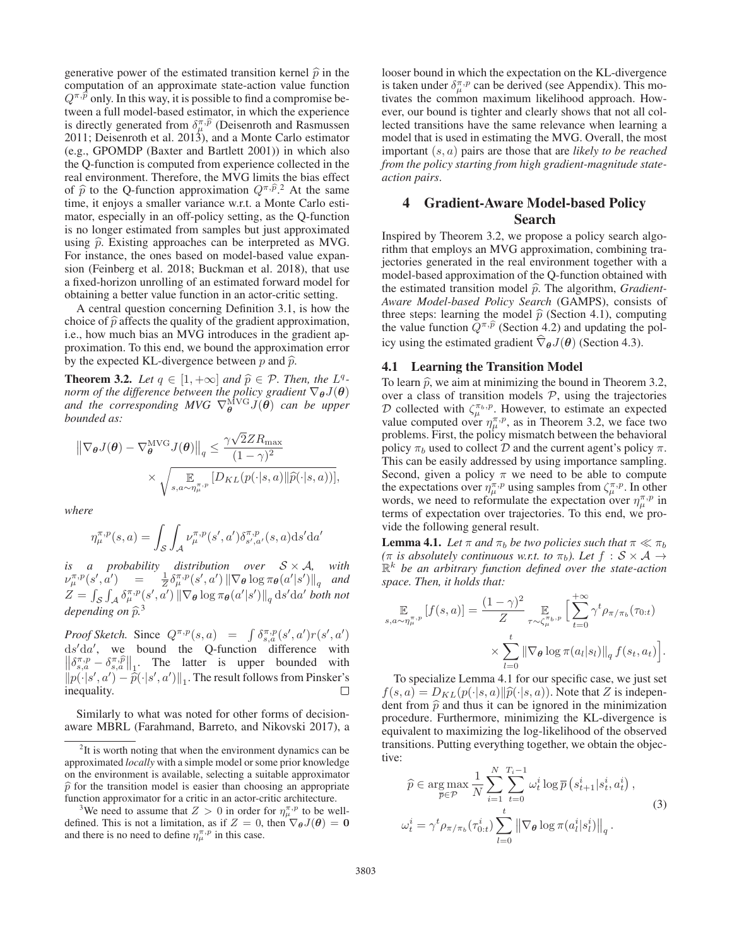generative power of the estimated transition kernel  $\hat{p}$  in the computation of an approximate state-action value function  $Q^{\pi,\hat{p}}$  only. In this way, it is possible to find a compromise becomputation of an approximate state-action value function  $Q^{\pi,p}$  only. In this way, it is possible to find a compromise between a full model-based estimator, in which the experience  $Q^{\pi,\hat{p}}$  only. In this way, it is possible to find a compromise be-<br>tween a full model-based estimator, in which the experience<br>is directly generated from  $\delta_{\mu}^{\pi,\hat{p}}$  (Deisenroth and Rasmussen 2011; Deisenroth et al. 2013), and a Monte Carlo estimator (e.g., GPOMDP (Baxter and Bartlett 2001)) in which also the Q-function is computed from experience collected in the real environment. Therefore, the MVG limits the bias effect the Q-function is computed from experience collected in the<br>real environment. Therefore, the MVG limits the bias effect<br>of  $\hat{p}$  to the Q-function approximation  $Q^{\pi,\hat{p}}$ .<sup>2</sup> At the same<br>is the samellar unit and  $Q^{\pi$ time, it enjoys a smaller variance w.r.t. a Monte Carlo estimator, especially in an off-policy setting, as the Q-function is no longer estimated from samples but just approximated using  $\hat{p}$ . Existing approaches can be interpreted as MVG. For instance, the ones based on model-based value expansion (Feinberg et al. 2018; Buckman et al. 2018), that use a fixed-horizon unrolling of an estimated forward model for obtaining a better value function in an actor-critic setting.

A central question concerning Definition 3.1, is how the choice of  $\hat{p}$  affects the quality of the gradient approximation, i.e., how much bias an MVG introduces in the gradient approximation. To this end, we bound the approximation error by the expected KL-divergence between  $p$  and  $\hat{p}$ .

**Theorem 3.2.** *Let*  $q \in [1, +\infty]$  *and*  $\hat{p} \in \mathcal{P}$ *. Then, the*  $L^q$ -<br>power of the difference between the poliny anglicat  $\nabla L(\mathbf{q})$ *norm of the difference between the policy gradient* ∇*θ*J(*θ*) and the corresponding MVG  $\nabla_{\theta}^{MVG} J(\theta)$  can be upper *bounded as:*

$$
\begin{aligned} \left\| \nabla_{\theta} J(\theta) - \nabla_{\theta}^{\text{MVG}} J(\theta) \right\|_{q} &\leq \frac{\gamma \sqrt{2} Z R_{\text{max}}}{(1 - \gamma)^{2}} \\ &\times \sqrt{\mathop{\mathbb{E}}_{s, a \sim \eta_{\mu}^{\pi, p}} \left[ D_{KL}(p(\cdot | s, a) || \widehat{p}(\cdot | s, a)) \right]}, \end{aligned}
$$

*where*

$$
\eta_{\mu}^{\pi,p}(s,a) = \int_{\mathcal{S}} \int_{\mathcal{A}} \nu_{\mu}^{\pi,p}(s',a') \delta_{s',a'}^{\pi,p}(s,a) \mathrm{d}s' \mathrm{d}a'
$$

*is a probability distribution over* S×A*, with*  $\nu_{\mu}^{\pi, p}(s', a') = \frac{1}{Z} \delta_{\mu}^{\pi, p}(s', a') \left\|\nabla_{\theta} \log \pi_{\theta}(a' | s')\right\|_{q}$  and  $Z = |$  $\sum_{\mathcal{S}} \int_{\mathcal{A}} \delta_{\mu}^{\pi, p}(s', \alpha') \, \|\nabla_{\theta} \log \pi_{\theta}(a'|s')\|_{q} \, \mathrm{d}s' \mathrm{d}a' \text{ both not}$ depending on  $\widehat{p}^3$ 

*Proof Sketch.* Since  $Q^{\pi, p}(s, a) = \int \delta_{s, a}^{\pi, p}(s', a') r(s', a')$  $ds'da'$ , we bound the Q-function difference with  $\|\delta^{\pi,p} - \delta^{\pi,\hat{p}}\|$  The latter is upper bounded with *Proof Sketch.* Since  $Q^{\pi,p}(s, a) = \int \delta_{s,a}^{\pi,p}(s', a')r(s', a')$ <br>  $ds'da',$  we bound the Q-function difference with  $\left\|\delta_{s,a}^{\pi,p} - \delta_{s,a}^{\pi,p}\right\|_1$ . The latter is upper bounded with  $\|p(s', a') - \hat{p}(s', a')\|$ . The result follows from  $||p(\cdot|s', a') - \widehat{p}(\cdot|s', a')||_1$ . The result follows from Pinsker's inequality inequality.

Similarly to what was noted for other forms of decisionaware MBRL (Farahmand, Barreto, and Nikovski 2017), a looser bound in which the expectation on the KL-divergence is taken under  $\delta_{\mu}^{\pi,p}$  can be derived (see Appendix). This motivates the common maximum likelihood approach. However, our bound is tighter and clearly shows that not all collected transitions have the same relevance when learning a model that is used in estimating the MVG. Overall, the most important (s, a) pairs are those that are *likely to be reached from the policy starting from high gradient-magnitude stateaction pairs*.

# 4 Gradient-Aware Model-based Policy Search

Inspired by Theorem 3.2, we propose a policy search algorithm that employs an MVG approximation, combining trajectories generated in the real environment together with a model-based approximation of the Q-function obtained with the estimated transition model  $\hat{p}$ . The algorithm, *Gradient-*<br>Aways *Model hazed Delim: Seamh (GAMPS)*, consists of *Aware Model-based Policy Search* (GAMPS), consists of three steps: learning the model  $\hat{p}$  (Section 4.1), computing<br>the value function  $O^{\pi,\hat{p}}$  (Section 4.2) and underties the pol-Aware Model-based Policy Search (GAMPS), consists of three steps: learning the model  $\hat{p}$  (Section 4.1), computing the value function  $Q^{\pi,\hat{p}}$  (Section 4.2) and updating the policy using the estimated gradient  $\nabla_{\theta} J(\theta)$  (Section 4.3).

# 4.1 Learning the Transition Model

To learn  $\hat{p}$ , we aim at minimizing the bound in Theorem 3.2,<br>over a close of transition models  $\hat{p}$ , using the trajectories over a class of transition models  $P$ , using the trajectories D collected with  $\zeta_{\mu}^{\pi_b,p}$ . However, to estimate an expected value computed over  $\eta_u^{\pi,p}$ , as in Theorem 3.2, we face two problems. First, the policy mismatch between the behavioral policy  $\pi_b$  used to collect D and the current agent's policy  $\pi$ . This can be easily addressed by using importance sampling. Second, given a policy  $\pi$  we need to be able to compute the expectations over  $\eta_u^{\pi,p}$  using samples from  $\zeta_u^{\pi,p}$ . In other words, we need to reformulate the expectation over  $\eta_u^{\pi, p}$  in terms of expectation over trajectories. To this end, we provide the following general result.

**Lemma 4.1.** *Let*  $\pi$  *and*  $\pi_b$  *be two policies such that*  $\pi \ll \pi_b$  $(\pi$  *is absolutely continuous w.r.t. to*  $\pi_b$ *). Let*  $f : S \times A \rightarrow$  $\mathbb{R}^k$  be an arbitrary function defined over the state-action *space. Then, it holds that:*

$$
\mathop{\mathbb{E}}_{s,a \sim \eta_{\mu}^{\pi, p}} [f(s, a)] = \frac{(1 - \gamma)^2}{Z} \mathop{\mathbb{E}}_{\tau \sim \zeta_{\mu}^{\pi_{b}, p}} \Big[ \sum_{t=0}^{+\infty} \gamma^t \rho_{\pi/\pi_b}(\tau_{0:t}) + \sum_{l=0}^{t} \|\nabla_{\theta} \log \pi(a_l|s_l)\|_q f(s_t, a_t) \Big].
$$

 $l=0$ <br>To specialize Lemma 4.1 for our specific case, we just set  $f(s, a) = D_{KL}(p(\cdot|s, a)||\widehat{p}(\cdot|s, a))$ . Note that Z is independent from  $\widehat{\mathfrak{D}}$  and thus it can be ignored in the minimization dent from  $\hat{p}$  and thus it can be ignored in the minimization<br>measured in the KL diverses is interested in procedure. Furthermore, minimizing the KL-divergence is equivalent to maximizing the log-likelihood of the observed transitions. Putting everything together, we obtain the objective:

$$
\widehat{p} \in \underset{\overline{p} \in \mathcal{P}}{\arg \max} \frac{1}{N} \sum_{i=1}^{N} \sum_{t=0}^{T_i - 1} \omega_t^i \log \overline{p} \left( s_{t+1}^i | s_t^i, a_t^i \right),
$$
\n
$$
\omega_t^i = \gamma^t \rho_{\pi/\pi_b}(\tau_{0:t}^i) \sum_{l=0}^{t} \left\| \nabla_{\theta} \log \pi(a_l^i | s_l^i) \right\|_q.
$$
\n(3)

 $2$ It is worth noting that when the environment dynamics can be approximated *locally* with a simple model or some prior knowledge on the environment is available, selecting a suitable approximator  $\hat{p}$  for the transition model is easier than choosing an appropriate function approximator for a critic in an actor-critic architecture.

<sup>&</sup>lt;sup>3</sup>We need to assume that  $Z > 0$  in order for  $\eta_{\mu}^{\pi, p}$  to be well-<br>ned. This is not a limitation, as if  $Z = 0$ , then  $\nabla_{\alpha}J(\theta) = 0$ defined. This is not a limitation, as if  $Z = 0$ , then  $\nabla_{\theta}J(\theta) = 0$ <br>and there is no need to define  $n^{\pi, p}$  in this case and there is no need to define  $\eta_{\mu}^{\pi,p}$  in this case.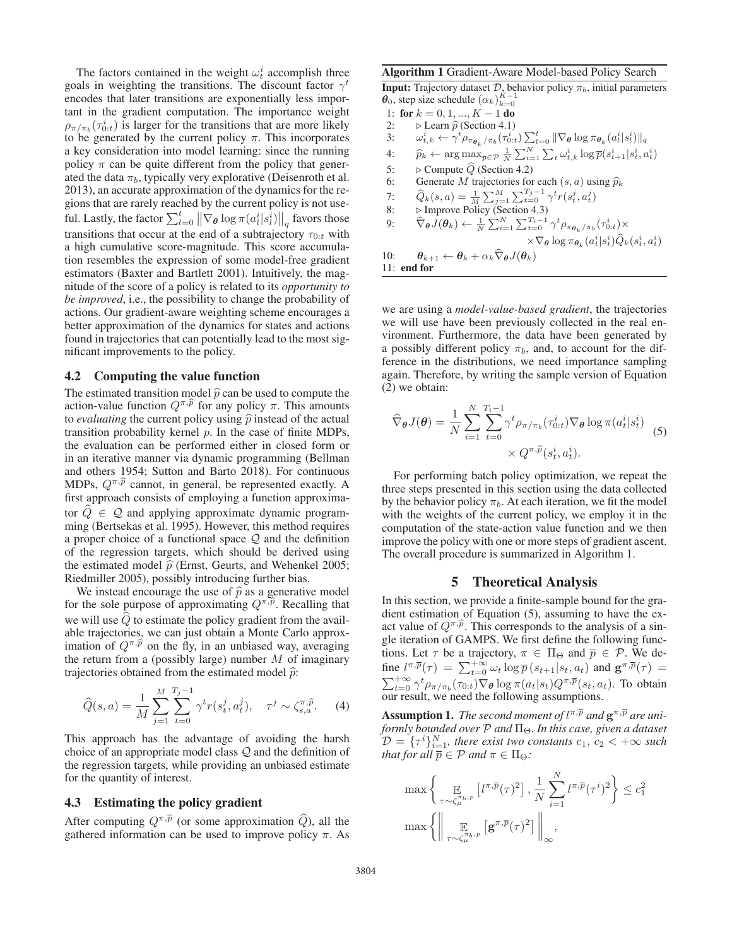The factors contained in the weight  $\omega_t^i$  accomplish three goals in weighting the transitions. The discount factor  $\gamma^t$ encodes that later transitions are exponentially less important in the gradient computation. The importance weight  $\rho_{\pi/\pi_b}(\tau_{0:t}^i)$  is larger for the transitions that are more likely<br>to be generated by the current policy  $\pi$ . This incorporates to be generated by the current policy  $\pi$ . This incorporates a key consideration into model learning: since the running policy  $\pi$  can be quite different from the policy that generated the data  $\pi_b$ , typically very explorative (Deisenroth et al. 2013), an accurate approximation of the dynamics for the regions that are rarely reached by the current policy is not useful. Lastly, the factor  $\sum_{l=0}^{t} ||\nabla_{\theta} \log \pi (a_l^i | s_l^i) ||_q$  favors those transitions that occur at the end of a subtrajectory  $\tau_{0:t}$  with a high cumulative score-magnitude. This score accumulation resembles the expression of some model-free gradient estimators (Baxter and Bartlett 2001). Intuitively, the magnitude of the score of a policy is related to its *opportunity to be improved*, i.e., the possibility to change the probability of actions. Our gradient-aware weighting scheme encourages a better approximation of the dynamics for states and actions found in trajectories that can potentially lead to the most significant improvements to the policy.

### 4.2 Computing the value function

The estimated transition model  $\hat{p}$  can be used to compute the existent value function  $Q\hat{x}\hat{p}$  for any nation  $T$  This emportunity **4.2 Computing the value of**<br>The estimated transition mo<br>action-value function  $Q^{\pi,\hat{p}}$ action-value function  $Q^{\pi,\hat{p}}$  for any policy  $\pi$ . This amounts to *evaluating* the current policy using  $\hat{p}$  instead of the actual<br>transition probability learned  $\hat{p}$ . In the access of finite MDPs transition probability kernel  $p$ . In the case of finite MDPs, the evaluation can be performed either in closed form or in an iterative manner via dynamic programming (Bellman and others 1954; Sutton and Barto 2018). For continuous in an iterative manner via dynamic programming (Bellman and others 1954; Sutton and Barto 2018). For continuous MDPs,  $Q^{\pi,\hat{p}}$  cannot, in general, be represented exactly. A first approach consists of employing a function approximator  $Q \in \mathcal{Q}$  and applying approximate dynamic programming (Bertsekas et al. 1995). However, this method requires a proper choice of a functional space  $Q$  and the definition of the regression targets, which should be derived using the estimated model  $\hat{p}$  (Ernst, Geurts, and Wehenkel 2005;<br>Biodmillar 2005), negatively introducing further high Riedmiller 2005), possibly introducing further bias.

We instead encourage the use of  $\hat{p}$  as a generative model<br>the solar purpose of entropy institute  $Q\bar{x}\hat{y}$ . Becalling that Riedmiller 2005), possibly introducing further bias.<br>We instead encourage the use of  $\hat{p}$  as a generative model<br>for the sole purpose of approximating  $Q^{\pi,\hat{p}}$ . Recalling that we will use Q to estimate the policy gradient from the available trajectories, we can just obtain a Monte Carlo approxwe will use  $\hat{Q}$  to<br>able trajectories,<br>imation of  $Q^{\pi,\hat{p}}$ imation of  $Q^{\pi,\tilde{p}}$  on the fly, in an unbiased way, averaging the return from a (possibly large) number  $M$  of imaginary

trajectories obtained from the estimated model 
$$
\hat{p}
$$
:  
\n
$$
\hat{Q}(s, a) = \frac{1}{M} \sum_{j=1}^{M} \sum_{t=0}^{T_j - 1} \gamma^t r(s_t^j, a_t^j), \quad \tau^j \sim \zeta_{s,a}^{\pi, \hat{p}}.
$$
\n(4)

This approach has the advantage of avoiding the harsh choice of an appropriate model class  $Q$  and the definition of the regression targets, while providing an unbiased estimate for the quantity of interest.

# 4.3 Estimating the policy gradient

**4.3** Estimating the policy gradient<br>After computing  $Q^{\pi,\hat{p}}$  (or some approximation  $\hat{Q}$ ), all the gathered information can be used to improve policy  $\pi$ . As

#### Algorithm 1 Gradient-Aware Model-based Policy Search

**Input:** Trajectory dataset  $\mathcal{D}$ , behavior policy  $\pi_b$ , initial parameters  $\theta_0$ , step size schedule  $(\alpha_k)_{k=0}^{K-1}$ <br>1: for  $k=0,1\ldots K-1$  do.

1: for  $k = 0, 1, ..., K - 1$  do<br>2:  $\triangleright$  Learn  $\hat{p}$  (Section 4.1) 3:  $\omega_{t,k}^i \leftarrow \gamma^t \rho_{\pi_{\theta_k}/\pi_b}(\tau_{0:t}^i) \sum_{l=0}^t \|\nabla_{\theta} \log \pi_{\theta_k}(a_t^i | s_t^i) \|_q$ 4:  $\hat{p}_k \leftarrow \arg \max_{\overline{p} \in \mathcal{P}} \frac{1}{N} \sum_{i=1}^N \sum_t \omega_{t,k}^i \log \overline{p}(s_{t+1}^i | s_t^i, a_t^i)$ 5:  $\triangleright$  Compute Q (Section 4.2) 6: Generate M trajectories for each  $(s, a)$  using  $\hat{p}_k$ <br>  $\hat{c}_k$  =  $\hat{c}_k$  =  $\sum_{k=1}^{N} \sum_{k=1}^{T_i-1} f_{k}(s_i, i)$ 7:  $\hat{Q}_k(s, a) = \frac{1}{M} \sum_{j=1}^{M} \sum_{t=0}^{T_j - 1} \gamma^t r(s_t^j, a_t^j)$ <br>8:  $\triangleright$  Improve Policy (Section 4.3) 9:  $\widehat{\nabla}_{\theta} \widetilde{J}(\theta_k) \leftarrow \frac{1}{N} \sum_{i=1}^{N} \sum_{t=0}^{T_i-1} \gamma^t \rho_{\pi_{\theta_k}/\pi_b}(\tau_{0:t}^i) \times$  $\times \nabla_{\boldsymbol{\theta}} \log \pi_{\boldsymbol{\theta}_k}(a_t^i|s_t^i) \widehat{Q}_k(s_t^i,a_t^i)$ 10:  $\theta_{k+1} \leftarrow \theta_k + \alpha_k \nabla_{\theta} J(\theta_k)$ <br>11: end for 11: end for

we are using a *model-value-based gradient*, the trajectories we will use have been previously collected in the real environment. Furthermore, the data have been generated by a possibly different policy  $\pi_b$ , and, to account for the difference in the distributions, we need importance sampling again. Therefore, by writing the sample version of Equation (2) we obtain:

$$
\widehat{\nabla}_{\boldsymbol{\theta}} J(\boldsymbol{\theta}) = \frac{1}{N} \sum_{i=1}^{N} \sum_{t=0}^{T_i - 1} \gamma^t \rho_{\pi/\pi_b}(\tau_{0:t}^i) \nabla_{\boldsymbol{\theta}} \log \pi(a_t^i | s_t^i) \n\times Q^{\pi, \widehat{p}}(s_t^i, a_t^i).
$$
\n(5)

For performing batch policy optimization, we repeat the three steps presented in this section using the data collected by the behavior policy  $\pi_b$ . At each iteration, we fit the model with the weights of the current policy, we employ it in the computation of the state-action value function and we then improve the policy with one or more steps of gradient ascent. The overall procedure is summarized in Algorithm 1.

#### 5 Theoretical Analysis

In this section, we provide a finite-sample bound for the gradient estimation of Equation (5), assuming to have the exact value of  $Q^{\pi,\hat{p}}$ . This corresponds to the analysis of a sindient estimation of Equation (5), assuming to have the exact value of  $Q^{\pi,\hat{p}}$ . This corresponds to the analysis of a single iteration of GAMPS. We first define the following functions. Let  $\tau$  be a trajectory,  $\pi \in \Pi_{\Theta}$  and  $\overline{p} \in \mathcal{P}$ . We de-<br>fine  $l^{\pi,\overline{p}}(\tau) = \sum_{t=0}^{+\infty} \omega_t \log \overline{p}(s_{t+1}|s_t, a_t)$  and  $\mathbf{g}^{\pi,\overline{p}}(\tau) =$ <br> $\sum_{t=0}^{+\infty} t e^{-t}$  (a)  $\sum_{t=0}^{+\infty} \log \pi(s_t|s_t) O(\pi, \overline{p}(s_t|s_t))$  $\sum_{t=0}^{+\infty} \gamma^t \rho_{\pi/\pi_b}(\tau_{0:t}) \nabla_{\theta} \log \pi(a_t|s_t) Q^{\pi,\overline{p}}(s_t, a_t)$ . To obtain our result we need the following assumptions our result, we need the following assumptions.

**Assumption 1.** The second moment of  $l^{\pi, \overline{p}}$  and  $\mathbf{g}^{\pi, \overline{p}}$  are uniformly bounded over P and  $\Pi_{\Theta}$ . In this case, given a dataset *formly bounded over*  $P$  *and*  $\Pi_{\Theta}$ *. In this case, given a dataset*  $\mathcal{D} = \{\tau^i\}_{i=1}^N$ , there exist two constants  $c_1, c_2 < +\infty$  such that for all  $\overline{p} \in \mathcal{D}$  and  $\pi \in \Pi_0$ . *that for all*  $\overline{p} \in \mathcal{P}$  *and*  $\pi \in \Pi_{\Theta}$ *:* 

$$
\max \left\{ \mathbb{E}_{\tau \sim \zeta_{\mu}^{\pi_{b},p}} \left[ l^{\pi,\overline{p}}(\tau)^{2} \right], \frac{1}{N} \sum_{i=1}^{N} l^{\pi,\overline{p}}(\tau^{i})^{2} \right\} \leq c_{1}^{2}
$$

$$
\max \left\{ \left\| \mathbb{E}_{\tau \sim \zeta_{\mu}^{\pi_{b},p}} \left[ \mathbf{g}^{\pi,\overline{p}}(\tau)^{2} \right] \right\|_{\infty},
$$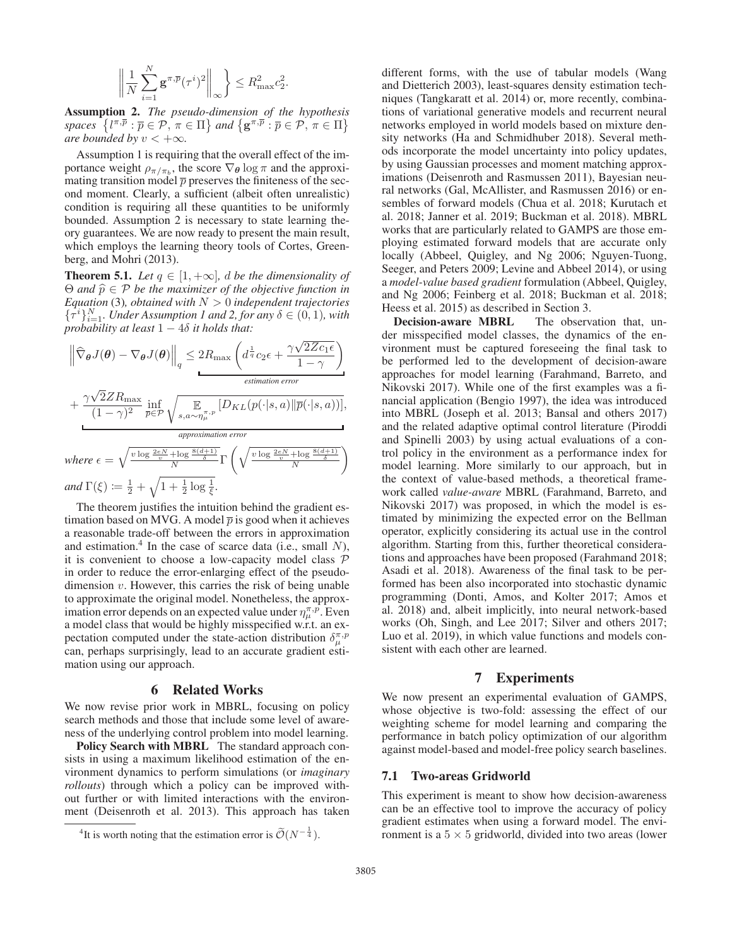$$
\left\| \frac{1}{N} \sum_{i=1}^{N} \mathbf{g}^{\pi, \overline{p}} (\tau^i)^2 \right\|_{\infty} \right\} \le R_{\max}^2 c_2^2.
$$

Assumption 2. *The pseudo-dimension of the hypothesis spaces*  $\{ \{ \pi, \overline{p} : \overline{p} \in \mathcal{P}, \pi \in \Pi \} \text{ and } \{ \mathbf{g}^{\pi, \overline{p}} : \overline{p} \in \mathcal{P}, \pi \in \Pi \}$ <br>*are bounded by*  $v < +\infty$ *are bounded by*  $v < +\infty$ *.* 

Assumption 1 is requiring that the overall effect of the importance weight  $\rho_{\pi/\pi_b}$ , the score  $\nabla_{\theta} \log \pi$  and the approximating transition model  $\bar{p}$  preserves the finiteness of the second moment. Clearly, a sufficient (albeit often unrealistic) condition is requiring all these quantities to be uniformly bounded. Assumption 2 is necessary to state learning theory guarantees. We are now ready to present the main result, which employs the learning theory tools of Cortes, Greenberg, and Mohri (2013).

**Theorem 5.1.** *Let*  $q \in [1, +\infty]$ *, d be the dimensionality of*  $\Theta$  *and*  $\hat{p} \in \mathcal{P}$  *be the maximizer of the objective function in*<br>Equation (2) obtained with  $N > 0$  independent trajectories *Equation* (3)*, obtained with* N > 0 *independent trajectories*  $\{\tau^i\}_{i=1}^N$ . Under Assumption 1 and 2, for any  $\delta \in (0,1)$ , with probability at least  $1 - 4\delta$  it holds that: *probability at least* 1 − 4δ *it holds that:*

$$
\|\widehat{\nabla}_{\theta}J(\theta) - \nabla_{\theta}J(\theta)\|_{q} \leq 2R_{\max} \left(d^{\frac{1}{q}}c_{2}\epsilon + \frac{\gamma\sqrt{2Zc_{1}\epsilon}}{1-\gamma}\right)
$$
  
+ 
$$
\frac{\gamma\sqrt{2}ZR_{\max}}{(1-\gamma)^{2}} \inf_{\overline{p}\in\mathcal{P}} \sqrt{\mathop{E}_{s,a\sim\eta_{\mu}^{\pi,p}}[D_{KL}(p(\cdot|s,a)||\overline{p}(\cdot|s,a))]},
$$
  
where  $\epsilon = \sqrt{\frac{v \log \frac{2eN}{v} + \log \frac{8(d+1)}{\delta}}{N}} \Gamma\left(\sqrt{\frac{v \log \frac{2eN}{v} + \log \frac{8(d+1)}{\delta}}{N}}\right)$   
and  $\Gamma(\xi) := \frac{1}{2} + \sqrt{1 + \frac{1}{2} \log \frac{1}{\xi}}.$ 

The theorem justifies the intuition behind the gradient estimation based on MVG. A model  $\bar{p}$  is good when it achieves a reasonable trade-off between the errors in approximation and estimation.<sup>4</sup> In the case of scarce data (i.e., small  $N$ ), it is convenient to choose a low-capacity model class  $P$ in order to reduce the error-enlarging effect of the pseudodimension  $v$ . However, this carries the risk of being unable to approximate the original model. Nonetheless, the approximation error depends on an expected value under  $\eta_{\mu}^{\pi,p}$ . Even a model class that would be highly misspecified w.r.t. an expectation computed under the state-action distribution  $\delta_{\mu\nu}^{\pi,\rho}$ can, perhaps surprisingly, lead to an accurate gradient estimation using our approach.

#### 6 Related Works

We now revise prior work in MBRL, focusing on policy search methods and those that include some level of awareness of the underlying control problem into model learning.

Policy Search with MBRL The standard approach consists in using a maximum likelihood estimation of the environment dynamics to perform simulations (or *imaginary rollouts*) through which a policy can be improved without further or with limited interactions with the environment (Deisenroth et al. 2013). This approach has taken

different forms, with the use of tabular models (Wang and Dietterich 2003), least-squares density estimation techniques (Tangkaratt et al. 2014) or, more recently, combinations of variational generative models and recurrent neural networks employed in world models based on mixture density networks (Ha and Schmidhuber 2018). Several methods incorporate the model uncertainty into policy updates, by using Gaussian processes and moment matching approximations (Deisenroth and Rasmussen 2011), Bayesian neural networks (Gal, McAllister, and Rasmussen 2016) or ensembles of forward models (Chua et al. 2018; Kurutach et al. 2018; Janner et al. 2019; Buckman et al. 2018). MBRL works that are particularly related to GAMPS are those employing estimated forward models that are accurate only locally (Abbeel, Quigley, and Ng 2006; Nguyen-Tuong, Seeger, and Peters 2009; Levine and Abbeel 2014), or using a *model-value based gradient* formulation (Abbeel, Quigley, and Ng 2006; Feinberg et al. 2018; Buckman et al. 2018; Heess et al. 2015) as described in Section 3.

Decision-aware MBRL The observation that, under misspecified model classes, the dynamics of the environment must be captured foreseeing the final task to be performed led to the development of decision-aware approaches for model learning (Farahmand, Barreto, and Nikovski 2017). While one of the first examples was a financial application (Bengio 1997), the idea was introduced into MBRL (Joseph et al. 2013; Bansal and others 2017) and the related adaptive optimal control literature (Piroddi and Spinelli 2003) by using actual evaluations of a control policy in the environment as a performance index for model learning. More similarly to our approach, but in the context of value-based methods, a theoretical framework called *value-aware* MBRL (Farahmand, Barreto, and Nikovski 2017) was proposed, in which the model is estimated by minimizing the expected error on the Bellman operator, explicitly considering its actual use in the control algorithm. Starting from this, further theoretical considerations and approaches have been proposed (Farahmand 2018; Asadi et al. 2018). Awareness of the final task to be performed has been also incorporated into stochastic dynamic programming (Donti, Amos, and Kolter 2017; Amos et al. 2018) and, albeit implicitly, into neural network-based works (Oh, Singh, and Lee 2017; Silver and others 2017; Luo et al. 2019), in which value functions and models consistent with each other are learned.

## 7 Experiments

We now present an experimental evaluation of GAMPS, whose objective is two-fold: assessing the effect of our weighting scheme for model learning and comparing the performance in batch policy optimization of our algorithm against model-based and model-free policy search baselines.

#### 7.1 Two-areas Gridworld

This experiment is meant to show how decision-awareness can be an effective tool to improve the accuracy of policy gradient estimates when using a forward model. The environment is a  $5 \times 5$  gridworld, divided into two areas (lower

<sup>&</sup>lt;sup>4</sup>It is worth noting that the estimation error is  $\tilde{\mathcal{O}}(N^{-\frac{1}{4}})$ .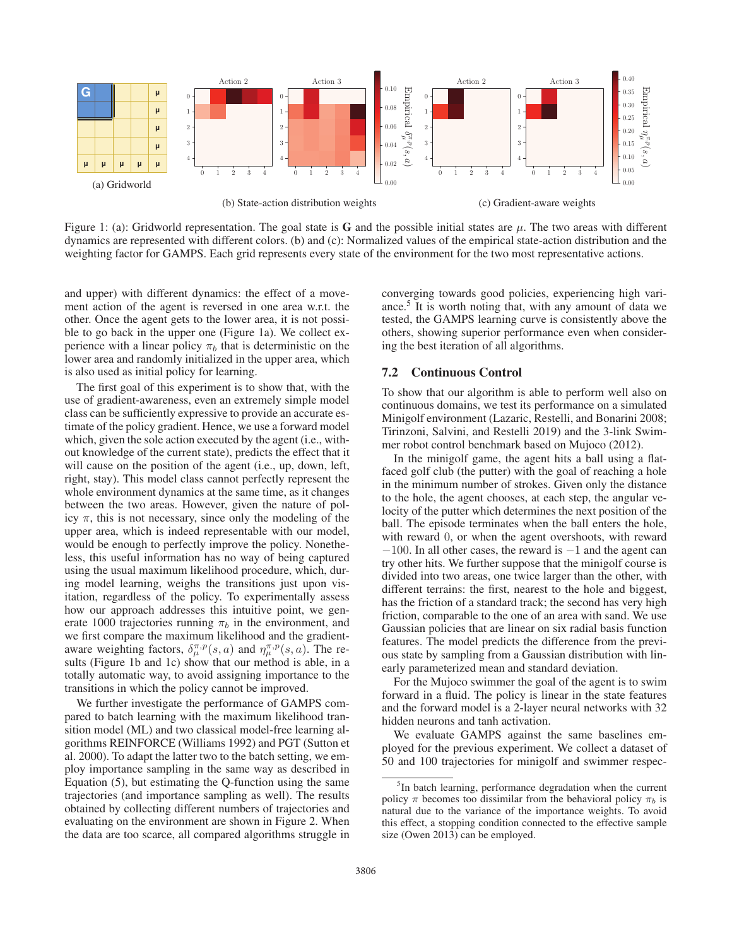

Figure 1: (a): Gridworld representation. The goal state is G and the possible initial states are  $\mu$ . The two areas with different dynamics are represented with different colors. (b) and (c): Normalized values of the empirical state-action distribution and the weighting factor for GAMPS. Each grid represents every state of the environment for the two most representative actions.

and upper) with different dynamics: the effect of a movement action of the agent is reversed in one area w.r.t. the other. Once the agent gets to the lower area, it is not possible to go back in the upper one (Figure 1a). We collect experience with a linear policy  $\pi_b$  that is deterministic on the lower area and randomly initialized in the upper area, which is also used as initial policy for learning.

The first goal of this experiment is to show that, with the use of gradient-awareness, even an extremely simple model class can be sufficiently expressive to provide an accurate estimate of the policy gradient. Hence, we use a forward model which, given the sole action executed by the agent (i.e., without knowledge of the current state), predicts the effect that it will cause on the position of the agent (i.e., up, down, left, right, stay). This model class cannot perfectly represent the whole environment dynamics at the same time, as it changes between the two areas. However, given the nature of policy  $\pi$ , this is not necessary, since only the modeling of the upper area, which is indeed representable with our model, would be enough to perfectly improve the policy. Nonetheless, this useful information has no way of being captured using the usual maximum likelihood procedure, which, during model learning, weighs the transitions just upon visitation, regardless of the policy. To experimentally assess how our approach addresses this intuitive point, we generate 1000 trajectories running  $\pi_b$  in the environment, and we first compare the maximum likelihood and the gradientaware weighting factors,  $\delta_{\mu}^{\pi,p}(s, a)$  and  $\eta_{\mu}^{\pi,p}(s, a)$ . The results (Figure 1b and 1c) show that our method is able, in a totally automatic way, to avoid assigning importance to the transitions in which the policy cannot be improved.

We further investigate the performance of GAMPS compared to batch learning with the maximum likelihood transition model (ML) and two classical model-free learning algorithms REINFORCE (Williams 1992) and PGT (Sutton et al. 2000). To adapt the latter two to the batch setting, we employ importance sampling in the same way as described in Equation (5), but estimating the Q-function using the same trajectories (and importance sampling as well). The results obtained by collecting different numbers of trajectories and evaluating on the environment are shown in Figure 2. When the data are too scarce, all compared algorithms struggle in

converging towards good policies, experiencing high variance.<sup>5</sup> It is worth noting that, with any amount of data we tested, the GAMPS learning curve is consistently above the others, showing superior performance even when considering the best iteration of all algorithms.

## 7.2 Continuous Control

To show that our algorithm is able to perform well also on continuous domains, we test its performance on a simulated Minigolf environment (Lazaric, Restelli, and Bonarini 2008; Tirinzoni, Salvini, and Restelli 2019) and the 3-link Swimmer robot control benchmark based on Mujoco (2012).

In the minigolf game, the agent hits a ball using a flatfaced golf club (the putter) with the goal of reaching a hole in the minimum number of strokes. Given only the distance to the hole, the agent chooses, at each step, the angular velocity of the putter which determines the next position of the ball. The episode terminates when the ball enters the hole, with reward 0, or when the agent overshoots, with reward  $-100$ . In all other cases, the reward is  $-1$  and the agent can try other hits. We further suppose that the minigolf course is divided into two areas, one twice larger than the other, with different terrains: the first, nearest to the hole and biggest, has the friction of a standard track; the second has very high friction, comparable to the one of an area with sand. We use Gaussian policies that are linear on six radial basis function features. The model predicts the difference from the previous state by sampling from a Gaussian distribution with linearly parameterized mean and standard deviation.

For the Mujoco swimmer the goal of the agent is to swim forward in a fluid. The policy is linear in the state features and the forward model is a 2-layer neural networks with 32 hidden neurons and tanh activation.

We evaluate GAMPS against the same baselines employed for the previous experiment. We collect a dataset of 50 and 100 trajectories for minigolf and swimmer respec-

<sup>&</sup>lt;sup>5</sup>In batch learning, performance degradation when the current policy  $\pi$  becomes too dissimilar from the behavioral policy  $\pi_b$  is natural due to the variance of the importance weights. To avoid this effect, a stopping condition connected to the effective sample size (Owen 2013) can be employed.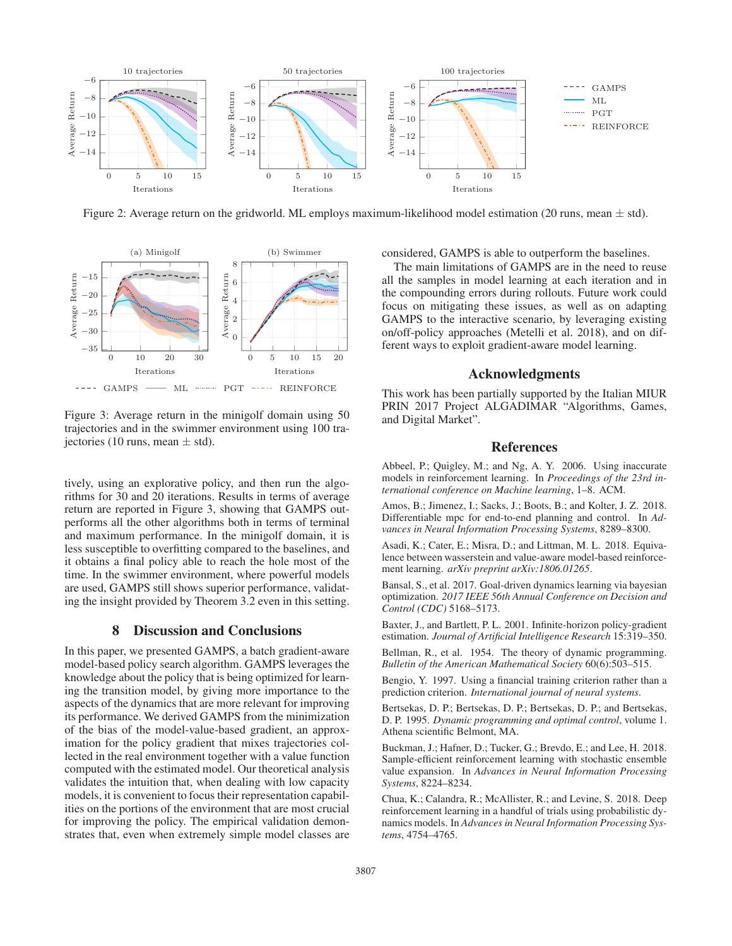

Figure 2: Average return on the gridworld. ML employs maximum-likelihood model estimation (20 runs, mean  $\pm$  std).



Figure 3: Average return in the minigolf domain using 50 trajectories and in the swimmer environment using 100 trajectories (10 runs, mean  $\pm$  std).

tively, using an explorative policy, and then run the algorithms for 30 and 20 iterations. Results in terms of average return are reported in Figure 3, showing that GAMPS outperforms all the other algorithms both in terms of terminal and maximum performance. In the minigolf domain, it is less susceptible to overfitting compared to the baselines, and it obtains a final policy able to reach the hole most of the time. In the swimmer environment, where powerful models are used, GAMPS still shows superior performance, validating the insight provided by Theorem 3.2 even in this setting.

# 8 Discussion and Conclusions

In this paper, we presented GAMPS, a batch gradient-aware model-based policy search algorithm. GAMPS leverages the knowledge about the policy that is being optimized for learning the transition model, by giving more importance to the aspects of the dynamics that are more relevant for improving its performance. We derived GAMPS from the minimization of the bias of the model-value-based gradient, an approximation for the policy gradient that mixes trajectories collected in the real environment together with a value function computed with the estimated model. Our theoretical analysis validates the intuition that, when dealing with low capacity models, it is convenient to focus their representation capabilities on the portions of the environment that are most crucial for improving the policy. The empirical validation demonstrates that, even when extremely simple model classes are considered, GAMPS is able to outperform the baselines.

The main limitations of GAMPS are in the need to reuse all the samples in model learning at each iteration and in the compounding errors during rollouts. Future work could focus on mitigating these issues, as well as on adapting GAMPS to the interactive scenario, by leveraging existing on/off-policy approaches (Metelli et al. 2018), and on different ways to exploit gradient-aware model learning.

## Acknowledgments

This work has been partially supported by the Italian MIUR PRIN 2017 Project ALGADIMAR "Algorithms, Games, and Digital Market".

## References

Abbeel, P.; Quigley, M.; and Ng, A. Y. 2006. Using inaccurate models in reinforcement learning. In *Proceedings of the 23rd international conference on Machine learning*, 1–8. ACM.

Amos, B.; Jimenez, I.; Sacks, J.; Boots, B.; and Kolter, J. Z. 2018. Differentiable mpc for end-to-end planning and control. In *Advances in Neural Information Processing Systems*, 8289–8300.

Asadi, K.; Cater, E.; Misra, D.; and Littman, M. L. 2018. Equivalence between wasserstein and value-aware model-based reinforcement learning. *arXiv preprint arXiv:1806.01265*.

Bansal, S., et al. 2017. Goal-driven dynamics learning via bayesian optimization. *2017 IEEE 56th Annual Conference on Decision and Control (CDC)* 5168–5173.

Baxter, J., and Bartlett, P. L. 2001. Infinite-horizon policy-gradient estimation. *Journal of Artificial Intelligence Research* 15:319–350.

Bellman, R., et al. 1954. The theory of dynamic programming. *Bulletin of the American Mathematical Society* 60(6):503–515.

Bengio, Y. 1997. Using a financial training criterion rather than a prediction criterion. *International journal of neural systems*.

Bertsekas, D. P.; Bertsekas, D. P.; Bertsekas, D. P.; and Bertsekas, D. P. 1995. *Dynamic programming and optimal control*, volume 1. Athena scientific Belmont, MA.

Buckman, J.; Hafner, D.; Tucker, G.; Brevdo, E.; and Lee, H. 2018. Sample-efficient reinforcement learning with stochastic ensemble value expansion. In *Advances in Neural Information Processing Systems*, 8224–8234.

Chua, K.; Calandra, R.; McAllister, R.; and Levine, S. 2018. Deep reinforcement learning in a handful of trials using probabilistic dynamics models. In *Advances in Neural Information Processing Systems*, 4754–4765.